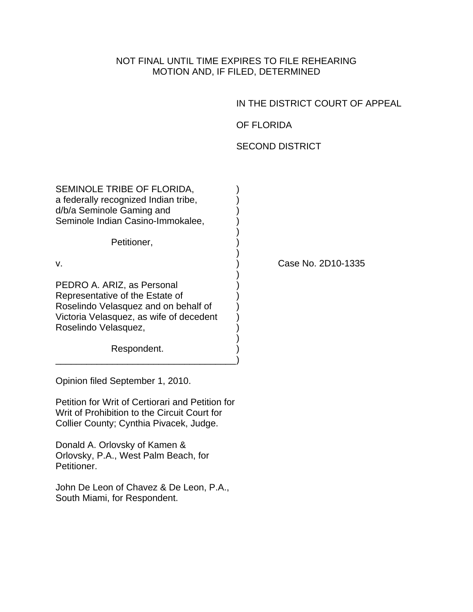NOT FINAL UNTIL TIME EXPIRES TO FILE REHEARING MOTION AND, IF FILED, DETERMINED

IN THE DISTRICT COURT OF APPEAL

OF FLORIDA

## SECOND DISTRICT

| SEMINOLE TRIBE OF FLORIDA,<br>a federally recognized Indian tribe,<br>d/b/a Seminole Gaming and<br>Seminole Indian Casino-Immokalee,                                                    |                    |
|-----------------------------------------------------------------------------------------------------------------------------------------------------------------------------------------|--------------------|
| Petitioner,                                                                                                                                                                             |                    |
| V.                                                                                                                                                                                      | Case No. 2D10-1335 |
| PEDRO A. ARIZ, as Personal<br>Representative of the Estate of<br>Roselindo Velasquez and on behalf of<br>Victoria Velasquez, as wife of decedent<br>Roselindo Velasquez,<br>Respondent. |                    |

Opinion filed September 1, 2010.

Petition for Writ of Certiorari and Petition for Writ of Prohibition to the Circuit Court for Collier County; Cynthia Pivacek, Judge.

Donald A. Orlovsky of Kamen & Orlovsky, P.A., West Palm Beach, for Petitioner.

John De Leon of Chavez & De Leon, P.A., South Miami, for Respondent.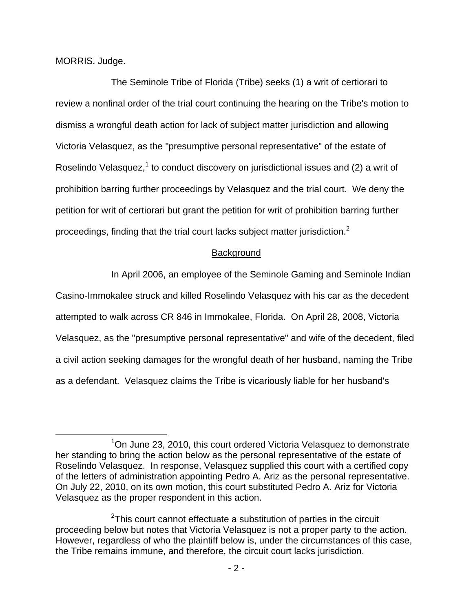MORRIS, Judge.

 The Seminole Tribe of Florida (Tribe) seeks (1) a writ of certiorari to review a nonfinal order of the trial court continuing the hearing on the Tribe's motion to dismiss a wrongful death action for lack of subject matter jurisdiction and allowing Victoria Velasquez, as the "presumptive personal representative" of the estate of Roselindo Velasquez, $1$  to conduct discovery on jurisdictional issues and (2) a writ of prohibition barring further proceedings by Velasquez and the trial court. We deny the petition for writ of certiorari but grant the petition for writ of prohibition barring further proceedings, finding that the trial court lacks subject matter jurisdiction.<sup>2</sup>

## **Background**

In April 2006, an employee of the Seminole Gaming and Seminole Indian

Casino-Immokalee struck and killed Roselindo Velasquez with his car as the decedent attempted to walk across CR 846 in Immokalee, Florida. On April 28, 2008, Victoria Velasquez, as the "presumptive personal representative" and wife of the decedent, filed a civil action seeking damages for the wrongful death of her husband, naming the Tribe as a defendant. Velasquez claims the Tribe is vicariously liable for her husband's

 $\overline{\phantom{a}}$  $1$ On June 23, 2010, this court ordered Victoria Velasquez to demonstrate her standing to bring the action below as the personal representative of the estate of Roselindo Velasquez. In response, Velasquez supplied this court with a certified copy of the letters of administration appointing Pedro A. Ariz as the personal representative. On July 22, 2010, on its own motion, this court substituted Pedro A. Ariz for Victoria Velasquez as the proper respondent in this action.

 $2$ This court cannot effectuate a substitution of parties in the circuit proceeding below but notes that Victoria Velasquez is not a proper party to the action. However, regardless of who the plaintiff below is, under the circumstances of this case, the Tribe remains immune, and therefore, the circuit court lacks jurisdiction.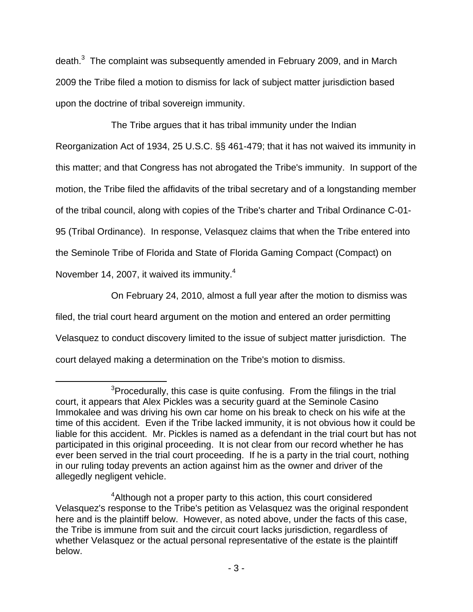death. $3$  The complaint was subsequently amended in February 2009, and in March 2009 the Tribe filed a motion to dismiss for lack of subject matter jurisdiction based upon the doctrine of tribal sovereign immunity.

The Tribe argues that it has tribal immunity under the Indian

Reorganization Act of 1934, 25 U.S.C. §§ 461-479; that it has not waived its immunity in

this matter; and that Congress has not abrogated the Tribe's immunity. In support of the

motion, the Tribe filed the affidavits of the tribal secretary and of a longstanding member

of the tribal council, along with copies of the Tribe's charter and Tribal Ordinance C-01-

95 (Tribal Ordinance). In response, Velasquez claims that when the Tribe entered into

the Seminole Tribe of Florida and State of Florida Gaming Compact (Compact) on

November 14, 2007, it waived its immunity.<sup>4</sup>

 $\overline{a}$ 

On February 24, 2010, almost a full year after the motion to dismiss was

filed, the trial court heard argument on the motion and entered an order permitting

Velasquez to conduct discovery limited to the issue of subject matter jurisdiction. The

court delayed making a determination on the Tribe's motion to dismiss.

<sup>3</sup>  $3$ Procedurally, this case is quite confusing. From the filings in the trial court, it appears that Alex Pickles was a security guard at the Seminole Casino Immokalee and was driving his own car home on his break to check on his wife at the time of this accident. Even if the Tribe lacked immunity, it is not obvious how it could be liable for this accident. Mr. Pickles is named as a defendant in the trial court but has not participated in this original proceeding. It is not clear from our record whether he has ever been served in the trial court proceeding. If he is a party in the trial court, nothing in our ruling today prevents an action against him as the owner and driver of the allegedly negligent vehicle.

<sup>&</sup>lt;sup>4</sup>Although not a proper party to this action, this court considered Velasquez's response to the Tribe's petition as Velasquez was the original respondent here and is the plaintiff below. However, as noted above, under the facts of this case, the Tribe is immune from suit and the circuit court lacks jurisdiction, regardless of whether Velasquez or the actual personal representative of the estate is the plaintiff below.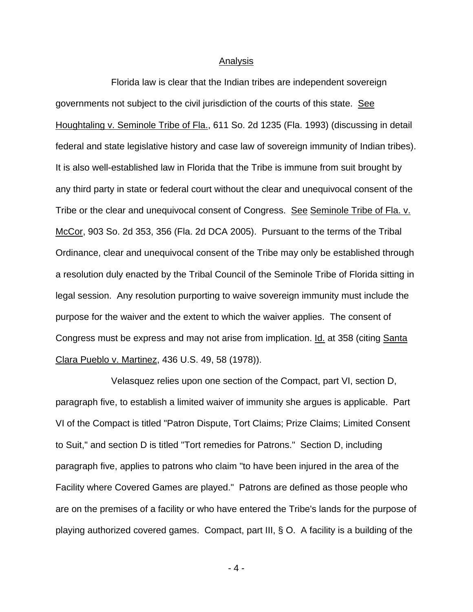## Analysis

 Florida law is clear that the Indian tribes are independent sovereign governments not subject to the civil jurisdiction of the courts of this state. See Houghtaling v. Seminole Tribe of Fla., 611 So. 2d 1235 (Fla. 1993) (discussing in detail federal and state legislative history and case law of sovereign immunity of Indian tribes). It is also well-established law in Florida that the Tribe is immune from suit brought by any third party in state or federal court without the clear and unequivocal consent of the Tribe or the clear and unequivocal consent of Congress. See Seminole Tribe of Fla. v. McCor, 903 So. 2d 353, 356 (Fla. 2d DCA 2005). Pursuant to the terms of the Tribal Ordinance, clear and unequivocal consent of the Tribe may only be established through a resolution duly enacted by the Tribal Council of the Seminole Tribe of Florida sitting in legal session. Any resolution purporting to waive sovereign immunity must include the purpose for the waiver and the extent to which the waiver applies. The consent of Congress must be express and may not arise from implication. **Id.** at 358 (citing Santa Clara Pueblo v. Martinez, 436 U.S. 49, 58 (1978)).

 Velasquez relies upon one section of the Compact, part VI, section D, paragraph five, to establish a limited waiver of immunity she argues is applicable. Part VI of the Compact is titled "Patron Dispute, Tort Claims; Prize Claims; Limited Consent to Suit," and section D is titled "Tort remedies for Patrons." Section D, including paragraph five, applies to patrons who claim "to have been injured in the area of the Facility where Covered Games are played." Patrons are defined as those people who are on the premises of a facility or who have entered the Tribe's lands for the purpose of playing authorized covered games. Compact, part III, § O. A facility is a building of the

- 4 -